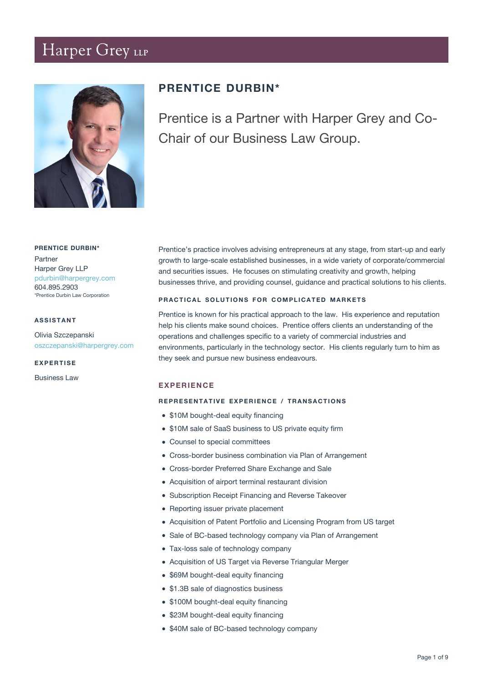# Harper Grey LLP



## **PRENTICE DURBIN\***

Prentice is a Partner with Harper Grey and Co-Chair of our Business Law Group.

### **PRENTICE DURBIN\***

Partner Harper Grey LLP [pdurbin@harpergrey.com](mailto:pdurbin@harpergrey.com) 604.895.2903 \*Prentice Durbin Law Corporation

#### **ASSISTANT**

Olivia Szczepanski [oszczepanski@harpergrey.com](mailto:oszczepanski@harpergrey.com)

**EXPERTISE**

Business Law

Prentice's practice involves advising entrepreneurs at any stage, from start-up and early growth to large-scale established businesses, in a wide variety of corporate/commercial and securities issues. He focuses on stimulating creativity and growth, helping businesses thrive, and providing counsel, guidance and practical solutions to his clients.

#### **PRACTICAL SOLUTIONS FOR COMPLICATED MARKETS**

Prentice is known for his practical approach to the law. His experience and reputation help his clients make sound choices. Prentice offers clients an understanding of the operations and challenges specific to a variety of commercial industries and environments, particularly in the technology sector. His clients regularly turn to him as they seek and pursue new business endeavours.

## **EXPERIENCE**

#### **REPRESENTATIVE EXPERIENCE / TRANSACTIONS**

- \$10M bought-deal equity financing
- $\bullet$  \$10M sale of SaaS business to US private equity firm
- Counsel to special committees
- Cross-border business combination via Plan of Arrangement
- Cross-border Preferred Share Exchange and Sale
- Acquisition of airport terminal restaurant division
- Subscription Receipt Financing and Reverse Takeover
- Reporting issuer private placement
- Acquisition of Patent Portfolio and Licensing Program from US target
- Sale of BC-based technology company via Plan of Arrangement
- Tax-loss sale of technology company
- Acquisition of US Target via Reverse Triangular Merger
- \$69M bought-deal equity financing
- \$1.3B sale of diagnostics business
- \$100M bought-deal equity financing
- \$23M bought-deal equity financing
- \$40M sale of BC-based technology company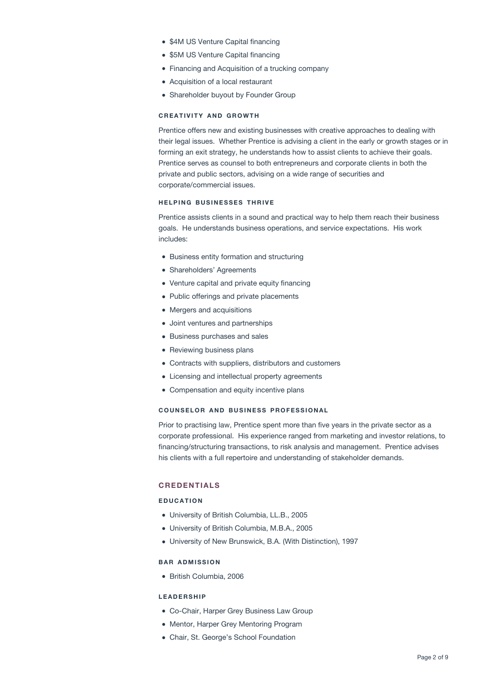- \$4M US Venture Capital financing
- \$5M US Venture Capital financing
- Financing and Acquisition of a trucking company
- Acquisition of a local restaurant
- Shareholder buyout by Founder Group

#### **CREATIVITY AND GROWTH**

Prentice offers new and existing businesses with creative approaches to dealing with their legal issues. Whether Prentice is advising a client in the early or growth stages or in forming an exit strategy, he understands how to assist clients to achieve their goals. Prentice serves as counsel to both entrepreneurs and corporate clients in both the private and public sectors, advising on a wide range of securities and corporate/commercial issues.

#### **HELPING BUSINESSES THRIVE**

Prentice assists clients in a sound and practical way to help them reach their business goals. He understands business operations, and service expectations. His work includes:

- Business entity formation and structuring
- Shareholders' Agreements
- Venture capital and private equity financing
- Public offerings and private placements
- Mergers and acquisitions
- Joint ventures and partnerships
- Business purchases and sales
- Reviewing business plans
- Contracts with suppliers, distributors and customers
- Licensing and intellectual property agreements
- Compensation and equity incentive plans

## **COUNSELOR AND BUSINESS PROFESSIONAL**

Prior to practising law, Prentice spent more than five years in the private sector as a corporate professional. His experience ranged from marketing and investor relations, to financing/structuring transactions, to risk analysis and management. Prentice advises his clients with a full repertoire and understanding of stakeholder demands.

## **CREDENTIALS**

## **EDUCATION**

- University of British Columbia, LL.B., 2005
- University of British Columbia, M.B.A., 2005
- University of New Brunswick, B.A. (With Distinction), 1997

## **BAR ADMISSION**

British Columbia, 2006

#### **LEADERSHIP**

- Co-Chair, Harper Grey Business Law Group
- Mentor, Harper Grey Mentoring Program
- Chair, St. George's School Foundation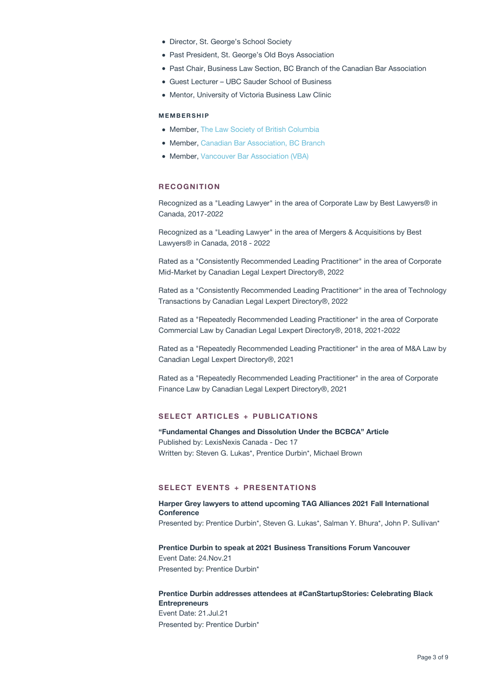- Director, St. George's School Society
- Past President, St. George's Old Boys Association
- Past Chair, Business Law Section, BC Branch of the Canadian Bar Association
- Guest Lecturer UBC Sauder School of Business
- Mentor, University of Victoria Business Law Clinic

#### **MEMBERSHIP**

- Member, [The Law Society of British Columbia](https://www.lawsociety.bc.ca)
- Member[, Canadian Bar Association, BC Branch](https://cbabc.org/Home)
- Member, [Vancouver Bar Association \(VBA\)](https://vancouverbar.ca)

#### **RECOGNITION**

Recognized as a "Leading Lawyer" in the area of Corporate Law by Best Lawyers® in Canada, 2017-2022

Recognized as a "Leading Lawyer" in the area of Mergers & Acquisitions by Best Lawyers® in Canada, 2018 - 2022

Rated as a "Consistently Recommended Leading Practitioner" in the area of Corporate Mid-Market by Canadian Legal Lexpert Directory®, 2022

Rated as a "Consistently Recommended Leading Practitioner" in the area of Technology Transactions by Canadian Legal Lexpert Directory®, 2022

Rated as a "Repeatedly Recommended Leading Practitioner" in the area of Corporate Commercial Law by Canadian Legal Lexpert Directory®, 2018, 2021-2022

Rated as a "Repeatedly Recommended Leading Practitioner" in the area of M&A Law by Canadian Legal Lexpert Directory®, 2021

Rated as a "Repeatedly Recommended Leading Practitioner" in the area of Corporate Finance Law by Canadian Legal Lexpert Directory®, 2021

### **SELECT ARTICLES + PUBLICATIONS**

**["Fundamental Changes and Dissolution Under the BCBCA" Article](https://harpergrey.com/article/fundamental-changes-dissolution-bcbca-article/)** Published by: LexisNexis Canada - Dec 17 Written by: Steven G. Lukas\*, Prentice Durbin\*, Michael Brown

#### **SELECT EVENTS + PRESENTATIONS**

**[Harper Grey lawyers to attend upcoming TAG Alliances 2021 Fall International](https://harpergrey.com/event/harper-grey-lawyers-to-attend-upcoming-tag-alliances-2021-fall-international-conference/) [Conference](https://harpergrey.com/event/harper-grey-lawyers-to-attend-upcoming-tag-alliances-2021-fall-international-conference/)** Presented by: Prentice Durbin\*, Steven G. Lukas\*, Salman Y. Bhura\*, John P. Sullivan\*

## **[Prentice Durbin to speak at 2021 Business Transitions Forum Vancouver](https://harpergrey.com/presentation/prentice-durbin-business-transitions-forum/)** Event Date: 24.Nov.21 Presented by: Prentice Durbin\*

#### **[Prentice Durbin addresses attendees at #CanStartupStories: Celebrating Black](https://harpergrey.com/presentation/prentice-durbin-addresses-attendees-at-canstartupstories-celebrating-black-entrepreneurs/) [Entrepreneurs](https://harpergrey.com/presentation/prentice-durbin-addresses-attendees-at-canstartupstories-celebrating-black-entrepreneurs/)** Event Date: 21.Jul.21

Presented by: Prentice Durbin\*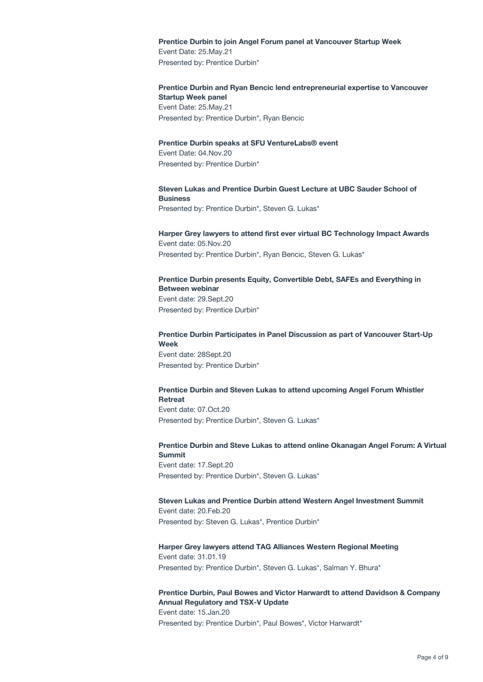### **[Prentice Durbin to join Angel Forum panel at Vancouver Startup Week](https://harpergrey.com/presentation/prentice-durbin-angel-forum-panel/)**

Event Date: 25.May.21 Presented by: Prentice Durbin\*

## **[Prentice Durbin and Ryan Bencic lend entrepreneurial expertise to Vancouver](https://harpergrey.com/presentation/prentice-durbin-and-ryan-bencic/) [Startup Week panel](https://harpergrey.com/presentation/prentice-durbin-and-ryan-bencic/)** Event Date: 25.May.21 Presented by: Prentice Durbin\*, Ryan Bencic

#### **[Prentice Durbin speaks at SFU VentureLabs® event](https://harpergrey.com/presentation/prentice-durbin-speaks-at-sfu-venturelabs-event/)**

Event Date: 04.Nov.20 Presented by: Prentice Durbin\*

## **[Steven Lukas and Prentice Durbin Guest Lecture at UBC Sauder School of](https://harpergrey.com/presentation/steven-lukas-and-prentice-durbin-guest-lecture-at-ubc-sauder-school-of-business/) [Business](https://harpergrey.com/presentation/steven-lukas-and-prentice-durbin-guest-lecture-at-ubc-sauder-school-of-business/)**

Presented by: Prentice Durbin\*, Steven G. Lukas\*

## **[Harper Grey lawyers to attend first ever virtual BC Technology Impact Awards](https://harpergrey.com/event/harper-grey-lawyers-attend-first-ever-virtual-bc-technology-impact-awards/)** Event date: 05.Nov.20 Presented by: Prentice Durbin\*, Ryan Bencic, Steven G. Lukas\*

## **[Prentice Durbin presents Equity, Convertible Debt, SAFEs and Everything in](https://harpergrey.com/presentation/prentice-durbin-co-presents-equity-convertible-debt-safes-and-everything-in-between-webinar/) [Between webinar](https://harpergrey.com/presentation/prentice-durbin-co-presents-equity-convertible-debt-safes-and-everything-in-between-webinar/)** Event date: 29.Sept.20 Presented by: Prentice Durbin\*

## **[Prentice Durbin Participates in Panel Discussion as part of Vancouver Start-Up](https://harpergrey.com/presentation/prentice-durbin-participates-in-panel-discussion-as-part-of-vancouver-start-up-week/) [Week](https://harpergrey.com/presentation/prentice-durbin-participates-in-panel-discussion-as-part-of-vancouver-start-up-week/)** Event date: 28Sept.20 Presented by: Prentice Durbin\*

#### **[Prentice Durbin and Steven Lukas to attend upcoming Angel Forum Whistler](https://harpergrey.com/event/prentice-durbin-and-steven-lukas-to-attend-upcoming-angel-forum-whistler-retreat/) [Retreat](https://harpergrey.com/event/prentice-durbin-and-steven-lukas-to-attend-upcoming-angel-forum-whistler-retreat/)**

Event date: 07.Oct.20 Presented by: Prentice Durbin\*, Steven G. Lukas\*

## **[Prentice Durbin and Steve Lukas to attend online Okanagan Angel Forum: A Virtual](https://harpergrey.com/event/prentice-durbin-and-steve-lukas-to-attend-online-okanagan-angel-forum-a-virtual-summit/) [Summit](https://harpergrey.com/event/prentice-durbin-and-steve-lukas-to-attend-online-okanagan-angel-forum-a-virtual-summit/)**

Event date: 17.Sept.20 Presented by: Prentice Durbin\*, Steven G. Lukas\*

## **[Steven Lukas and Prentice Durbin attend Western Angel Investment Summit](https://harpergrey.com/event/steven-lukas-and-prentice-durbin-attend-western-angel-investment-summit/)**

Event date: 20.Feb.20 Presented by: Steven G. Lukas\*, Prentice Durbin\*

## **[Harper Grey lawyers attend TAG Alliances Western Regional Meeting](https://harpergrey.com/event/harper-grey-lawyers-attend-tag-alliances-western-regional-meeting/)**

Event date: 31.01.19 Presented by: Prentice Durbin\*, Steven G. Lukas\*, Salman Y. Bhura\*

## **[Prentice Durbin, Paul Bowes and Victor Harwardt to attend Davidson & Company](https://harpergrey.com/event/prentice-durbin-paul-bowes-and-victor-harwardt-to-attend-davidson-company-annual-regulatory-and-tsx-v-update/) [Annual Regulatory and TSX-V Update](https://harpergrey.com/event/prentice-durbin-paul-bowes-and-victor-harwardt-to-attend-davidson-company-annual-regulatory-and-tsx-v-update/)**

Event date: 15.Jan.20 Presented by: Prentice Durbin\*, Paul Bowes\*, Victor Harwardt\*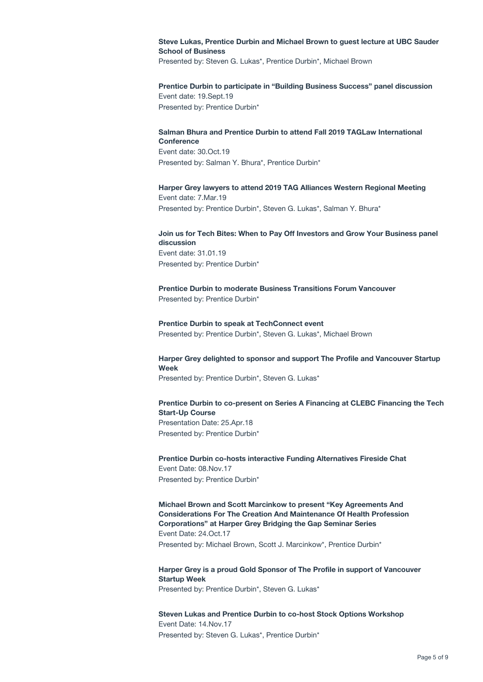## **[Steve Lukas, Prentice Durbin and Michael Brown to guest lecture at UBC Sauder](https://harpergrey.com/presentation/steve-lukas-prentice-durbin-and-michael-brown-to-guest-lecture-at-ubc-sauder-school-of-business/) [School of Business](https://harpergrey.com/presentation/steve-lukas-prentice-durbin-and-michael-brown-to-guest-lecture-at-ubc-sauder-school-of-business/)**

Presented by: Steven G. Lukas\*, Prentice Durbin\*, Michael Brown

## **[Prentice Durbin to participate in "Building Business Success" panel discussion](https://harpergrey.com/event/prentice-durbin-to-participate-in-building-business-success-panel-discussion/)**

Event date: 19.Sept.19 Presented by: Prentice Durbin\*

#### **[Salman Bhura and Prentice Durbin to attend Fall 2019 TAGLaw International](https://harpergrey.com/event/salman-bhura-and-prentice-durbin-to-attend-fall-2019-taglaw-international-conference/) [Conference](https://harpergrey.com/event/salman-bhura-and-prentice-durbin-to-attend-fall-2019-taglaw-international-conference/)**

Event date: 30.Oct.19 Presented by: Salman Y. Bhura\*, Prentice Durbin\*

## **[Harper Grey lawyers to attend 2019 TAG Alliances Western Regional Meeting](https://harpergrey.com/event/harper-grey-lawyers-attend-2019-tag-alliances-western-regional-meeting/)**

Event date: 7.Mar.19 Presented by: Prentice Durbin\*, Steven G. Lukas\*, Salman Y. Bhura\*

## **[Join us for Tech Bites: When to Pay Off Investors and Grow Your Business panel](https://harpergrey.com/event/join-us-for-tech-bites-when-to-pay-off-investors-and-grow-your-business-panel-discussion/) [discussion](https://harpergrey.com/event/join-us-for-tech-bites-when-to-pay-off-investors-and-grow-your-business-panel-discussion/)** Event date: 31.01.19 Presented by: Prentice Durbin\*

**[Prentice Durbin to moderate Business Transitions Forum Vancouver](https://harpergrey.com/event/prentice-durbin-to-moderate-business-transitions-forum-vancouver/)** Presented by: Prentice Durbin\*

## **[Prentice Durbin to speak at TechConnect event](https://harpergrey.com/event/prentice-durbin-to-speak-at-techconnect-event/)** Presented by: Prentice Durbin\*, Steven G. Lukas\*, Michael Brown

## **[Harper Grey delighted to sponsor and support The Profile and Vancouver Startup](https://harpergrey.com/event/harper-grey-delighted-to-sponsor-and-support-the-profile-and-vancouver-startup-week/) [Week](https://harpergrey.com/event/harper-grey-delighted-to-sponsor-and-support-the-profile-and-vancouver-startup-week/)**

Presented by: Prentice Durbin\*, Steven G. Lukas\*

## **[Prentice Durbin to co-present on Series A Financing at CLEBC Financing the Tech](https://harpergrey.com/presentation/prentice-durbin-co-present-series-financing-clebc-financing-tech-start-course/) [Start-Up Course](https://harpergrey.com/presentation/prentice-durbin-co-present-series-financing-clebc-financing-tech-start-course/)** Presentation Date: 25.Apr.18 Presented by: Prentice Durbin\*

**[Prentice Durbin co-hosts interactive Funding Alternatives Fireside Chat](https://harpergrey.com/event/prentice-durbin-co-hosts-interactive-funding-alternatives-fireside-chat/)** Event Date: 08.Nov.17

Presented by: Prentice Durbin\*

**[Michael Brown and Scott Marcinkow to present "Key Agreements And](https://harpergrey.com/event/michael-brown-scott-marcinkow-present-key-agreements-considerations-creation-maintenance-health-profession-corporations-harper-grey-bridging-gap-semi/) [Considerations For The Creation And Maintenance Of Health Profession](https://harpergrey.com/event/michael-brown-scott-marcinkow-present-key-agreements-considerations-creation-maintenance-health-profession-corporations-harper-grey-bridging-gap-semi/) [Corporations" at Harper Grey Bridging the Gap Seminar Series](https://harpergrey.com/event/michael-brown-scott-marcinkow-present-key-agreements-considerations-creation-maintenance-health-profession-corporations-harper-grey-bridging-gap-semi/)** Event Date: 24.Oct.17 Presented by: Michael Brown, Scott J. Marcinkow\*, Prentice Durbin\*

**[Harper Grey is a proud Gold Sponsor of The Profile in support of Vancouver](https://harpergrey.com/event/harper-grey-is-a-proud-gold-sponsor-of-the-profile-in-support-of-vancouver-startup-week/) [Startup Week](https://harpergrey.com/event/harper-grey-is-a-proud-gold-sponsor-of-the-profile-in-support-of-vancouver-startup-week/)** Presented by: Prentice Durbin\*, Steven G. Lukas\*

**[Steven Lukas and Prentice Durbin to co-host Stock Options Workshop](https://harpergrey.com/event/steven-lukas-prentice-durbin-co-host-stock-options-workshop/)** Event Date: 14.Nov.17 Presented by: Steven G. Lukas\*, Prentice Durbin\*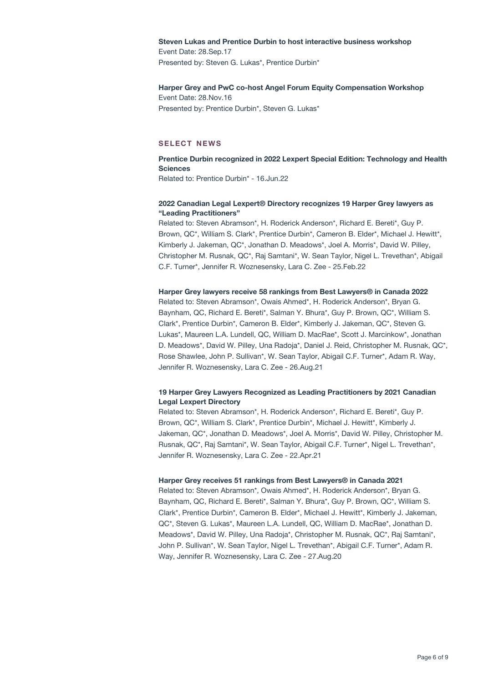## **[Steven Lukas and Prentice Durbin to host interactive business workshop](https://harpergrey.com/event/steven-lukas-prentice-durbin-host-interactive-business-workshop/)**

Event Date: 28.Sep.17 Presented by: Steven G. Lukas\*, Prentice Durbin\*

## **[Harper Grey and PwC co-host Angel Forum Equity Compensation Workshop](https://harpergrey.com/event/harper-grey-pwc-co-host-angel-forum-equity-compensation-workshop/)**

Event Date: 28.Nov.16 Presented by: Prentice Durbin\*, Steven G. Lukas\*

## **SELECT NEWS**

## **[Prentice Durbin recognized in 2022 Lexpert Special Edition: Technology and Health](https://harpergrey.com/news/prentice-durbin-recognized-in-2022-lexpert-special-edition-technology-and-health-sciences/) [Sciences](https://harpergrey.com/news/prentice-durbin-recognized-in-2022-lexpert-special-edition-technology-and-health-sciences/)** Related to: Prentice Durbin\* - 16.Jun.22

## **[2022 Canadian Legal Lexpert® Directory recognizes 19 Harper Grey lawyers as](https://harpergrey.com/news/2022-canadian-legal-lexpert-directory-recognizes-19-harper-grey-lawyers-as-leading-practitioners/) ["Leading Practitioners"](https://harpergrey.com/news/2022-canadian-legal-lexpert-directory-recognizes-19-harper-grey-lawyers-as-leading-practitioners/)**

Related to: Steven Abramson\*, H. Roderick Anderson\*, Richard E. Bereti\*, Guy P. Brown, QC\*, William S. Clark\*, Prentice Durbin\*, Cameron B. Elder\*, Michael J. Hewitt\*, Kimberly J. Jakeman, QC\*, Jonathan D. Meadows\*, Joel A. Morris\*, David W. Pilley, Christopher M. Rusnak, QC\*, Raj Samtani\*, W. Sean Taylor, Nigel L. Trevethan\*, Abigail C.F. Turner\*, Jennifer R. Woznesensky, Lara C. Zee - 25.Feb.22

## **[Harper Grey lawyers receive 58 rankings from Best Lawyers® in Canada 2022](https://harpergrey.com/news/harper-grey-lawyers-receive-58-rankings-from-best-lawyers-in-canada-2022/)**

Related to: Steven Abramson\*, Owais Ahmed\*, H. Roderick Anderson\*, Bryan G. Baynham, QC, Richard E. Bereti\*, Salman Y. Bhura\*, Guy P. Brown, QC\*, William S. Clark\*, Prentice Durbin\*, Cameron B. Elder\*, Kimberly J. Jakeman, QC\*, Steven G. Lukas\*, Maureen L.A. Lundell, QC, William D. MacRae\*, Scott J. Marcinkow\*, Jonathan D. Meadows\*, David W. Pilley, Una Radoja\*, Daniel J. Reid, Christopher M. Rusnak, QC\*, Rose Shawlee, John P. Sullivan\*, W. Sean Taylor, Abigail C.F. Turner\*, Adam R. Way, Jennifer R. Woznesensky, Lara C. Zee - 26.Aug.21

## **[19 Harper Grey Lawyers Recognized as Leading Practitioners by 2021 Canadian](https://harpergrey.com/news/harper-grey-leading-practitioners/) [Legal Lexpert Directory](https://harpergrey.com/news/harper-grey-leading-practitioners/)**

Related to: Steven Abramson\*, H. Roderick Anderson\*, Richard E. Bereti\*, Guy P. Brown, QC\*, William S. Clark\*, Prentice Durbin\*, Michael J. Hewitt\*, Kimberly J. Jakeman, QC\*, Jonathan D. Meadows\*, Joel A. Morris\*, David W. Pilley, Christopher M. Rusnak, QC\*, Raj Samtani\*, W. Sean Taylor, Abigail C.F. Turner\*, Nigel L. Trevethan\*, Jennifer R. Woznesensky, Lara C. Zee - 22.Apr.21

## **[Harper Grey receives 51 rankings from Best Lawyers® in Canada 2021](https://harpergrey.com/news/harper-grey-receives-51-rankings-from-best-lawyers-in-canada-2021/)**

Related to: Steven Abramson\*, Owais Ahmed\*, H. Roderick Anderson\*, Bryan G. Baynham, QC, Richard E. Bereti\*, Salman Y. Bhura\*, Guy P. Brown, QC\*, William S. Clark\*, Prentice Durbin\*, Cameron B. Elder\*, Michael J. Hewitt\*, Kimberly J. Jakeman, QC\*, Steven G. Lukas\*, Maureen L.A. Lundell, QC, William D. MacRae\*, Jonathan D. Meadows\*, David W. Pilley, Una Radoja\*, Christopher M. Rusnak, QC\*, Raj Samtani\*, John P. Sullivan\*, W. Sean Taylor, Nigel L. Trevethan\*, Abigail C.F. Turner\*, Adam R. Way, Jennifer R. Woznesensky, Lara C. Zee - 27.Aug.20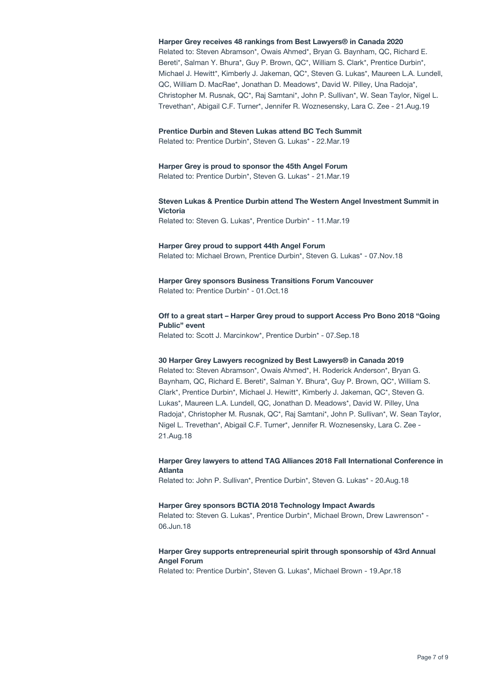#### **[Harper Grey receives 48 rankings from Best Lawyers® in Canada 2020](https://harpergrey.com/news/harper-grey-receives-48-rankings-from-best-lawyers-in-canada-2020/)**

Related to: Steven Abramson\*, Owais Ahmed\*, Bryan G. Baynham, QC, Richard E. Bereti\*, Salman Y. Bhura\*, Guy P. Brown, QC\*, William S. Clark\*, Prentice Durbin\*, Michael J. Hewitt\*, Kimberly J. Jakeman, QC\*, Steven G. Lukas\*, Maureen L.A. Lundell, QC, William D. MacRae\*, Jonathan D. Meadows\*, David W. Pilley, Una Radoja\*, Christopher M. Rusnak, QC\*, Raj Samtani\*, John P. Sullivan\*, W. Sean Taylor, Nigel L. Trevethan\*, Abigail C.F. Turner\*, Jennifer R. Woznesensky, Lara C. Zee - 21.Aug.19

#### **[Prentice Durbin and Steven Lukas attend BC Tech Summit](https://harpergrey.com/news/prentice-durbin-and-steven-lukas-attend-bc-tech-summit/)**

Related to: Prentice Durbin\*, Steven G. Lukas\* - 22.Mar.19

#### **[Harper Grey is proud to sponsor the 45th Angel Forum](https://harpergrey.com/news/harper-grey-is-proud-to-sponsor-the-45th-angel-forum/)**

Related to: Prentice Durbin\*, Steven G. Lukas\* - 21.Mar.19

### **[Steven Lukas & Prentice Durbin attend The Western Angel Investment Summit in](https://harpergrey.com/news/steven-lukas-prentice-durbin-attend-the-western-angel-investment-summit-in-victoria/) [Victoria](https://harpergrey.com/news/steven-lukas-prentice-durbin-attend-the-western-angel-investment-summit-in-victoria/)**

Related to: Steven G. Lukas\*, Prentice Durbin\* - 11.Mar.19

#### **[Harper Grey proud to support 44th Angel Forum](https://harpergrey.com/news/harper-grey-proud-to-support-44th-angel-forum/)**

Related to: Michael Brown, Prentice Durbin\*, Steven G. Lukas\* - 07.Nov.18

## **[Harper Grey sponsors Business Transitions Forum Vancouver](https://harpergrey.com/news/harper-grey-sponsors-business-transitions-forum-vancouver/)**

Related to: Prentice Durbin\* - 01.Oct.18

## **[Off to a great start – Harper Grey proud to support Access Pro Bono 2018 "Going](https://harpergrey.com/news/off-to-a-great-start-harper-grey-proud-to-support-access-pro-bono-2018-going-public-event/) [Public" event](https://harpergrey.com/news/off-to-a-great-start-harper-grey-proud-to-support-access-pro-bono-2018-going-public-event/)**

Related to: Scott J. Marcinkow\*, Prentice Durbin\* - 07.Sep.18

#### **[30 Harper Grey Lawyers recognized by Best Lawyers® in Canada 2019](https://harpergrey.com/news/30-harper-grey-lawyers-recognized-by-best-lawyers-in-canada-2019/)**

Related to: Steven Abramson\*, Owais Ahmed\*, H. Roderick Anderson\*, Bryan G. Baynham, QC, Richard E. Bereti\*, Salman Y. Bhura\*, Guy P. Brown, QC\*, William S. Clark\*, Prentice Durbin\*, Michael J. Hewitt\*, Kimberly J. Jakeman, QC\*, Steven G. Lukas\*, Maureen L.A. Lundell, QC, Jonathan D. Meadows\*, David W. Pilley, Una Radoja\*, Christopher M. Rusnak, QC\*, Raj Samtani\*, John P. Sullivan\*, W. Sean Taylor, Nigel L. Trevethan\*, Abigail C.F. Turner\*, Jennifer R. Woznesensky, Lara C. Zee - 21.Aug.18

#### **[Harper Grey lawyers to attend TAG Alliances 2018 Fall International Conference in](https://harpergrey.com/news/harper-grey-lawyers-to-attend-tag-alliances-2018-fall-international-conference-in-atlanta/) [Atlanta](https://harpergrey.com/news/harper-grey-lawyers-to-attend-tag-alliances-2018-fall-international-conference-in-atlanta/)**

Related to: John P. Sullivan\*, Prentice Durbin\*, Steven G. Lukas\* - 20.Aug.18

#### **[Harper Grey sponsors BCTIA 2018 Technology Impact Awards](https://harpergrey.com/news/harper-grey-supports-bctia-sponsorship-bctia-2018-technology-impact-awards/)**

Related to: Steven G. Lukas\*, Prentice Durbin\*, Michael Brown, Drew Lawrenson\* - 06.Jun.18

## **[Harper Grey supports entrepreneurial spirit through sponsorship of 43rd Annual](https://harpergrey.com/news/harper-grey-sponsors-43rd-annual-angel-forum/) [Angel Forum](https://harpergrey.com/news/harper-grey-sponsors-43rd-annual-angel-forum/)**

Related to: Prentice Durbin\*, Steven G. Lukas\*, Michael Brown - 19.Apr.18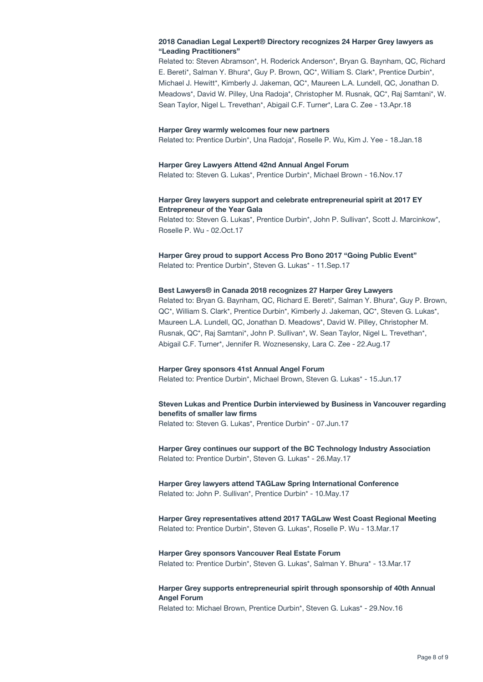### **[2018 Canadian Legal Lexpert® Directory recognizes 24 Harper Grey lawyers as](https://harpergrey.com/news/2018-canadian-legal-lexpert-directory-recognizes-24-harper-grey-lawyers-leading-practitioners/) ["Leading Practitioners"](https://harpergrey.com/news/2018-canadian-legal-lexpert-directory-recognizes-24-harper-grey-lawyers-leading-practitioners/)**

Related to: Steven Abramson\*, H. Roderick Anderson\*, Bryan G. Baynham, QC, Richard E. Bereti\*, Salman Y. Bhura\*, Guy P. Brown, QC\*, William S. Clark\*, Prentice Durbin\*, Michael J. Hewitt\*, Kimberly J. Jakeman, QC\*, Maureen L.A. Lundell, QC, Jonathan D. Meadows\*, David W. Pilley, Una Radoja\*, Christopher M. Rusnak, QC\*, Raj Samtani\*, W. Sean Taylor, Nigel L. Trevethan\*, Abigail C.F. Turner\*, Lara C. Zee - 13.Apr.18

#### **[Harper Grey warmly welcomes four new partners](https://harpergrey.com/news/harper-grey-warmly-welcomes-four-new-partners/)**

Related to: Prentice Durbin\*, Una Radoja\*, Roselle P. Wu, Kim J. Yee - 18.Jan.18

#### **[Harper Grey Lawyers Attend 42nd Annual Angel Forum](https://harpergrey.com/news/harper-grey-sponsors-42nd-annual-angel-forum/)**

Related to: Steven G. Lukas\*, Prentice Durbin\*, Michael Brown - 16.Nov.17

#### **[Harper Grey lawyers support and celebrate entrepreneurial spirit at 2017 EY](https://harpergrey.com/news/harper-grey-lawyers-support-entrepreneurial-spirit/) [Entrepreneur of the Year Gala](https://harpergrey.com/news/harper-grey-lawyers-support-entrepreneurial-spirit/)**

Related to: Steven G. Lukas\*, Prentice Durbin\*, John P. Sullivan\*, Scott J. Marcinkow\*, Roselle P. Wu - 02.Oct.17

**[Harper Grey proud to support Access Pro Bono 2017 "Going Public Event"](https://harpergrey.com/news/harper-grey-proud-support-access-pro-bono-2017-going-public-event/)** Related to: Prentice Durbin\*, Steven G. Lukas\* - 11.Sep.17

#### **[Best Lawyers® in Canada 2018 recognizes 27 Harper Grey Lawyers](https://harpergrey.com/news/best-lawyers-canada-2018-recognizes-27-harper-grey-lawyers/)**

Related to: Bryan G. Baynham, QC, Richard E. Bereti\*, Salman Y. Bhura\*, Guy P. Brown, QC\*, William S. Clark\*, Prentice Durbin\*, Kimberly J. Jakeman, QC\*, Steven G. Lukas\*, Maureen L.A. Lundell, QC, Jonathan D. Meadows\*, David W. Pilley, Christopher M. Rusnak, QC\*, Raj Samtani\*, John P. Sullivan\*, W. Sean Taylor, Nigel L. Trevethan\*, Abigail C.F. Turner\*, Jennifer R. Woznesensky, Lara C. Zee - 22.Aug.17

#### **[Harper Grey sponsors 41st Annual Angel Forum](https://harpergrey.com/news/harper-grey-sponsors-41st-annual-angel-forum/)**

Related to: Prentice Durbin\*, Michael Brown, Steven G. Lukas\* - 15.Jun.17

## **[Steven Lukas and Prentice Durbin interviewed by Business in Vancouver regarding](https://harpergrey.com/news/steven-lukas-prentice-durbin-interviewed-business-vancouver-benefits-smaller-law-firms/) [benefits of smaller law firms](https://harpergrey.com/news/steven-lukas-prentice-durbin-interviewed-business-vancouver-benefits-smaller-law-firms/)**

Related to: Steven G. Lukas\*, Prentice Durbin\* - 07.Jun.17

**[Harper Grey continues our support of the BC Technology Industry Association](https://harpergrey.com/news/harper-grey-continues-support-bc-technology-industry-association/)** Related to: Prentice Durbin\*, Steven G. Lukas\* - 26.May.17

#### **[Harper Grey lawyers attend TAGLaw Spring International Conference](https://harpergrey.com/news/harper-grey-lawyers-attend-taglaw-spring-international-conference/)** Related to: John P. Sullivan\*, Prentice Durbin\* - 10.May.17

**[Harper Grey representatives attend 2017 TAGLaw West Coast Regional Meeting](https://harpergrey.com/news/harper-grey-representatives-attend-2017-taglaw-west-coast-regional-meeting/)** Related to: Prentice Durbin\*, Steven G. Lukas\*, Roselle P. Wu - 13.Mar.17

#### **[Harper Grey sponsors Vancouver Real Estate Forum](https://harpergrey.com/news/harper-grey-sponsors-vancouver-real-estate-forum-2/)** Related to: Prentice Durbin\*, Steven G. Lukas\*, Salman Y. Bhura\* - 13.Mar.17

## **[Harper Grey supports entrepreneurial spirit through sponsorship of 40th Annual](https://harpergrey.com/news/harper-grey-sponsors-40th-annual-angel-forum/) [Angel Forum](https://harpergrey.com/news/harper-grey-sponsors-40th-annual-angel-forum/)**

Related to: Michael Brown, Prentice Durbin\*, Steven G. Lukas\* - 29.Nov.16